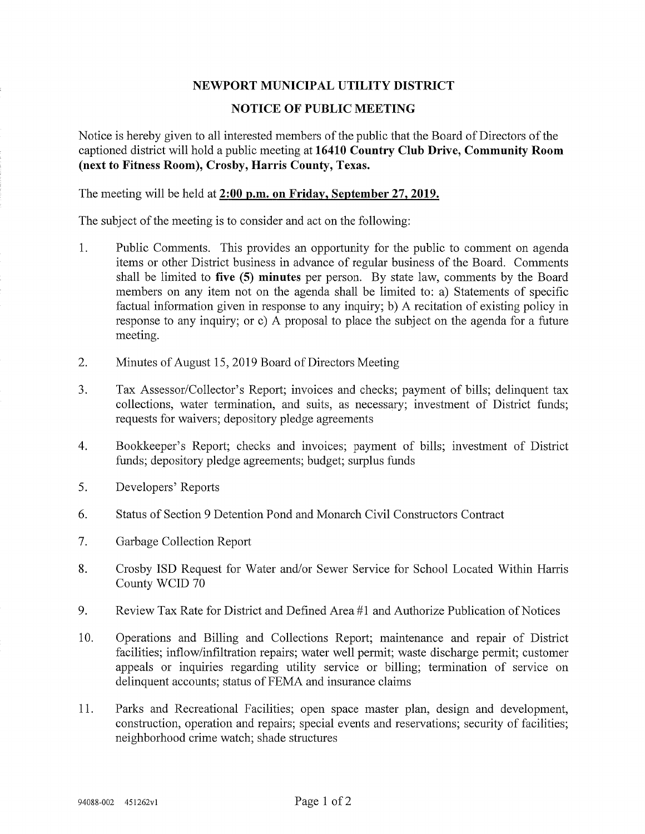## NEWPORT MUNICIPAL UTILITY DISTRICT

## NOTICE OF PUBLIC MEETING

Notice is hereby given to all interested members of the public that the Board of Directors of the captioned district will hold a public meeting at 16410 Country Club Drive, Community Room (next to Fitness Room), Crosby, Harris County, Texas.

The meeting will be held at 2:00 p.m. on Friday, September 27, 2019.

The subject of the meeting is to consider and act on the following:

- 1. Public Comments. This provides an opportunity for the public to comment on agenda items or other District business in advance of regular business of the Board. Comments shall be limited to five (5) minutes per person. By state law, comments by the Board members on any item not on the agenda shall be limited to: a) Statements of specific factual information given in response to any inquiry; b) A recitation of existing policy in response to any inquiry; or c) A proposal to place the subject on the agenda for a future meeting.
- 2. Minutes of August 15, 2019 Board of Directors Meeting
- 3. Tax Assessor/Collector's Report; invoices and checks; payment of bills; delinquent tax collections, water termination, and suits, as necessary; investment of District funds; requests for waivers; depository pledge agreements
- 4. Bookkeeper's Report; checks and invoices; payment of bills; investment of District funds; depository pledge agreements; budget; surplus funds
- 5. Developers' Reports
- 6. Status of Section 9 Detention Pond and Monarch Civil Constructors Contract
- 7. Garbage Collection Report
- 8. Crosby ISD Request for Water and/or Sewer Service for School Located Within Harris County WCID 70
- 9. Review Tax Rate for District and Defined Area #1 and Authorize Publication of Notices
- 10. Operations and Billing and Collections Report; maintenance and repair of District facilities; inflow/infiltration repairs; water well permit; waste discharge permit; customer appeals or inquiries regarding utility service or billing; termination of service on delinquent accounts; status of FEMA and insurance claims
- 11. Parks and Recreational Facilities; open space master plan, design and development, construction, operation and repairs; special events and reservations; security of facilities; neighborhood crime watch; shade structures